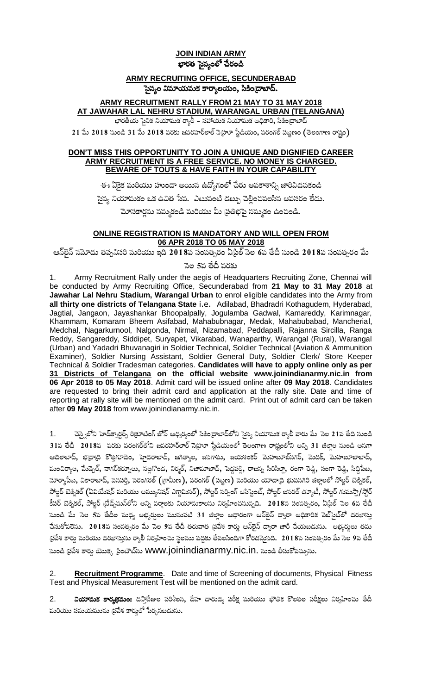## **JOIN INDIAN ARMY** భారత సైన్యంలో చేరండి

## **ARMY RECRUITING OFFICE, SECUNDERABAD** సైన్యం నిమాయమక కార్యాలయం, సికిం[దాబాద్.

## ARMY RECRUITMENT RALLY FROM 21 MAY TO 31 MAY 2018 AT JAWAHAR LAL NEHRU STADIUM, WARANGAL URBAN (TELANGANA)

భారతీయ సైనిక నియామక ర్యాలీ – సహాయక నియామక అధికారి, సికింద్రాబాద్

 $21$  మే  $2018$  నుండి  $31$  మే  $2018$  పరకు జవరహర్లాల్ సెహ్రూ స్టేడియం, పరంగల్ పట్టణం (తెలంగాణ రాష్ట్రం)

### DON'T MISS THIS OPPORTUNITY TO JOIN A UNIQUE AND DIGNIFIED CAREER ARMY RECRUITMENT IS A FREE SERVICE. NO MONEY IS CHARGED. **BEWARE OF TOUTS & HAVE FAITH IN YOUR CAPABILITY**

ఈ ఏకైక మరియు హుందా అయిన ఉద్యోగంలో చేరు అవకాశాన్ని జారివిడచకండి సైన్య నియామకం ఒక ఉచిత సేవ. ఎటువంటి డబ్బు చెల్లించవలసిన అవసరం లేదు. మోసకార్ధను సమ్మకండి మరియు మీ (ప్రతిభపై సమ్మకం ఉంచండి.

### ONLINE REGISTRATION IS MANDATORY AND WILL OPEN FROM 06 APR 2018 TO 05 MAY 2018

ఆన్ਓైన్ సమోదు తప్పనిసరి మరియు ఇది 2018వ సంవత్సరం ఏధిల్ సెల 6వ తేదీ నుండి 2018వ సంవత్సరం మే

### సెల 5ప తేదీ పరకు

Army Recruitment Rally under the aegis of Headquarters Recruiting Zone, Chennai will 1. be conducted by Army Recruiting Office, Secunderabad from 21 May to 31 May 2018 at Jawahar Lal Nehru Stadium, Warangal Urban to enrol eligible candidates into the Army from all thirty one districts of Telangana State i.e. Adilabad, Bhadradri Kothagudem, Hyderabad, Jagtial, Jangaon, Jayashankar Bhoopalpally, Jogulamba Gadwal, Kamareddy, Karimnagar, Khammam, Komaram Bheem Asifabad, Mahabubnagar, Medak, Mahabubabad, Mancherial, Medchal, Nagarkurnool, Nalgonda, Nirmal, Nizamabad, Peddapalli, Rajanna Sircilla, Ranga Reddy, Sangareddy, Siddipet, Suryapet, Vikarabad, Wanaparthy, Warangal (Rural), Warangal (Urban) and Yadadri Bhuvanagiri in Soldier Technical, Soldier Technical (Aviation & Ammunition Examiner), Soldier Nursing Assistant, Soldier General Duty, Soldier Clerk/ Store Keeper Technical & Soldier Tradesman categories. Candidates will have to apply online only as per 31 Districts of Telangana on the official website www.joinindianarmy.nic.in from<br>06 Apr 2018 to 05 May 2018. Admit card will be issued online after 09 May 2018. Candidates are requested to bring their admit card and application at the rally site. Date and time of reporting at rally site will be mentioned on the admit card. Print out of admit card can be taken after 09 May 2018 from www.joinindianarmy.nic.in.

చెన్నైలోని హెడ్క్వార్టర్స్ రిక్రూటింగ్ జోన్ ఆధ్వర్యంలో సికింద్రాబాద్లోని సైన్య నియామక ర్యాలీ వారు మే సెల 21వ తేది నుండి  $1<sub>1</sub>$ 31వ తేదీ 2018వ పరకు వరంగల్లోని జవరహర్లాల్ సెహూ స్టేడియంలో తెలంగాణ రాష్ట్రలోని అన్ని 31 జిల్లాల నుండి అసగా ఆదిలాబాద్, భద్రాద్రి కొత్తగూడెం, హైదరాబాద్, జగిత్యాల, జనగామ, జయశంకర్ మెహబూబ్నగర్, మెదక్, మెహబూబాబాద్, మంచిర్యాల, మేడ్చెల్, నాగర్కర్నూలు, సల్లగొండ, నిర్మల్, నిజామాబాద్, పెద్దపల్లి, రాజస్న సిరిసిల్లా, రంగా రెడ్డి, సంగా రెడ్డి, సిద్ధిపేట, సూర్యాపేట, వికారాబాద్, పసపర్తి, పరంగరల్ (గ్రామీణ), పరంగల్ (పట్టణ) మరియు యాదాద్రి భువసగిరి జిల్లాలలో సోల్జర్ టెక్నికల్, సోల్జర్ టెక్నికల్ (ఏవియేషన్ మరియు అమ్యునిషన్ ఎగ్జామినర్), సోల్జర్ సర్పింగ్ అసిస్టెంట్, సోల్జర్ జసరల్ డ్యూటీ, సోల్జర్ గుమస్తా/స్టోర్ కీపర్ టెక్నికల్, సోల్జర్ ట్రేడ్స్**మన్**లోని అన్ని పర్గాలకు నియామకాలసు నిర్వహించనున్నది. 2018ప సంవత్సరం, ఏథ్రిల్ సెల 6ప తేదీ సుండి మే సెల 5వ తేదీల మధ్య అభ్యర్ధులు ముసుపటి 31 జిల్లాల ఆధారంగా ఆస్ఐైన్ ద్వారా అధికారిక పెబ్సైట్లో దరఖాస్తు చేసుకోవలెను. 2018వ సంవత్సరం మే సెల 9వ తేదీ తరువాత (పపేశ కార్డు ఆస్ఐైన్ ద్వారా జారీ చేయబడును. అభ్యర్శలు తమ (పపేశ కార్డు పురియు దరఖాస్తును ర్యాలీ నిర్వహించు స్థలము వద్దకు తేవలసిందిగా కోరడమైసది. 2018ప సంపత్సరం మే సెల 9ప తేదీ సుండి స్రవేశ కార్డు యొక్క స్టింటౌట్సు WWW.joinindianarmy.nic.in. సుండి తీసుకోవచ్చును.

Recruitment Programme. Date and time of Screening of documents, Physical Fitness Test and Physical Measurement Test will be mentioned on the admit card.

 $2.$ **నియామక కార్యక్రమం:** దస్తాపేజుల పరిశీలస, దేహ దారుడ్య పరీక్ష మరియు భౌతిక కొలతల పరీక్షలు నిర్వహించు తేదీ మరియు సమయమును (ప్రపేశ కార్డులో పేర్కసబడును.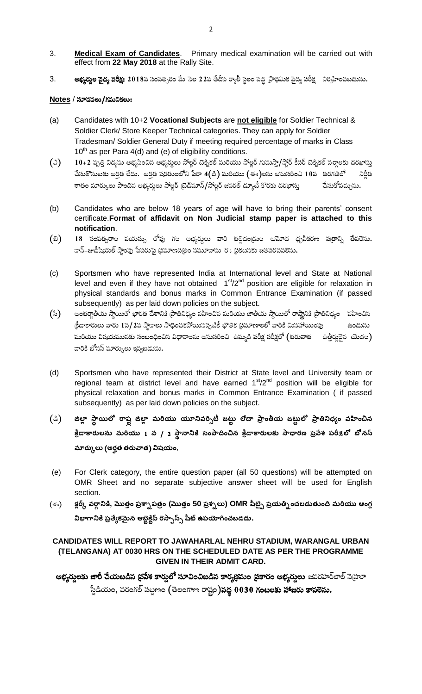- Medical Exam of Candidates. Primary medical examination will be carried out with 3. effect from 22 May 2018 at the Rally Site.
- **అభ్యర్తుల పైద్య పరీక్ష:** 2018ప సంపత్సరం మే సెల 22వ తేదీస ర్యాలీ స్థలం వద్ద (పాధమిక పైద్య పరీక్ష నిర్వహించబడును. 3.

### $Notes /$  సూచనలు/గమనికలు:

- Candidates with 10+2 Vocational Subjects are not eligible for Soldier Technical &  $(a)$ Soldier Clerk/ Store Keeper Technical categories. They can apply for Soldier Tradesman/ Soldier General Duty if meeting required percentage of marks in Class  $10^{th}$  as per Para 4(d) and (e) of eligibility conditions.
- 10+2 పృత్తి విద్యను అభ్యసించిస అభ్యర్ధులు సోల్జర్ చెక్నికల్ మరియు సోల్జర్ గుమస్తా/స్టోర్ కీపర్ చెక్నికల్ పర్గాలకు దరఖాస్తు  $(\circ)$ పేసుకొనుటకు అర్హత లేదు. అర్హత షరతులలోని పేరా 4(డి) మరియు (ఈ)లసు అసుసరించి 10ప తరగతిలో నిరీత శాతం మార్కులు పొందిస అభ్యర్శలు సోల్జర్ (టెడ్మూన్/సోల్జర్ జసరల్ డ్యూటీ కొరకు దరఖాస్తు చేసుకోవచ్చును.
- Candidates who are below 18 years of age will have to bring their parents' consent  $(b)$ certificate. Format of affidavit on Non Judicial stamp paper is attached to this notification.
- 18 సంవత్సరాల పయస్సు లోపు గల అభ్యర్శలు వారి తల్లిదండ్రుల ఆమోద ధృవీకరణ పత్రాన్ని తేవలెను. (ಬಿ) నాన్–జుడీషియల్ స్టాంఫు పేపరుపై (పమాణప(తం సమూనాను ఈ (పకటసకు జతపరచవలెసు.
- Sportsmen who have represented India at International level and State at National  $(c)$ level and even if they have not obtained 1<sup>st</sup>/2<sup>nd</sup> position are eligible for relaxation in physical standards and bonus marks in Common Entrance Examination (if passed subsequently) as per laid down policies on the subject.
- అంతర్జాతీయ స్థాయిలో భారత దేశానికి (ఫాతినిధ్యం వహించిన మరియు జాతీయ స్థాయిలో రాష్టానికి (ఫాతినిధ్యం వహించిన  $(3)$ క్రీడాకారులు వారు 1వ/2వ స్థానాలు సాధించకపోయినప్పటికీ భౌతిక ప్రమాణాలలో వారికి మినహాయింపు ఉండుసు పురియు విషయముసకు సంబంధించిన విధానాలను అనుసరించి ఉమ్మడి పరీక్ష పరీక్షలో (తరువాత ఉత్తీర్హులైన యెడల) వారికి బోసస్ మార్కులు ఇవ్వబడును.
- Sportsmen who have represented their District at State level and University team or  $(d)$ regional team at district level and have earned 1<sup>st</sup>/2<sup>nd</sup> position will be eligible for physical relaxation and bonus marks in Common Entrance Examination ( if passed subsequently) as per laid down policies on the subject.
- (යී) జిల్లా స్థాయిలో రాష్ట్ర జిల్లా మరియు యూనివర్సిటీ జట్టు లేదా ప్రాంతీయ జట్టులో ప్రాతినిధ్యం వహించిన క్రీడాకారులను మరియు 1 వ / 2 స్థానానికి సంపాదించిన క్రీడాకారులకు సాధారణ ప్రవే<del>శ</del> పరీక్షలో బోనస్ మార్కులు (అర్హత తరువాత) విషయం.
- $(e)$ For Clerk category, the entire question paper (all 50 questions) will be attempted on OMR Sheet and no separate subjective answer sheet will be used for English section.
- క్లర్క్ వర్గానికి, మొత్తం ప్రశ్నాపత్రం (మొత్తం 50 ప్రశ్నలు) OMR పీట్పై ప్రయత్నించబడుతుంది మరియు ఆంగ్ల (ಕ್ಕು) విభాగానికి ప్రత్యేకమైన ఆట్లైక్టిప్ రెస్పాస్స్ షీట్ ఉపయోగించబడదు.

### CANDIDATES WILL REPORT TO JAWAHARLAL NEHRU STADIUM, WARANGAL URBAN (TELANGANA) AT 0030 HRS ON THE SCHEDULED DATE AS PER THE PROGRAMME **GIVEN IN THEIR ADMIT CARD.**

అభ్యర్శలకు జారీ చేయబడిన (ప్రవేశ కార్శలో సూచించిబడిన కార్యక్రమం (ప్రకారం అభ్యర్శలు జవరహర్లాల్ సెహ్రూ ్టేడియం, వరంగల్ పట్టణం (తెలంగాణ రాష్ట్రం)వద్ద 0030 గంటలకు హాజరు కావలెను.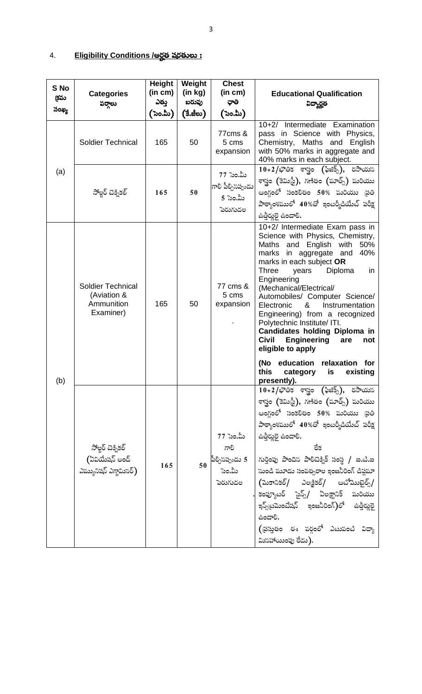#### <u>Eligibility Conditions /అర్హత షరతులు :</u> 4.

| S No<br>క్రమ<br>సంఖ్య | <b>Categories</b><br>వర్తాలు                                  | <b>Height</b><br>(in cm)<br>ఎతు<br>('ಸಂ.ಮಿ | Weight<br>(in kg)<br>బరువు<br>(కే.జీలు) | <b>Chest</b><br>(in cm)<br>ಘಾ<br>(ಒಂ.ಮಿ)                   | <b>Educational Qualification</b><br>విద్యార్థత                                                                                                                                                                                                                                                                                                                                                                                                                                                                                                                                                                |
|-----------------------|---------------------------------------------------------------|--------------------------------------------|-----------------------------------------|------------------------------------------------------------|---------------------------------------------------------------------------------------------------------------------------------------------------------------------------------------------------------------------------------------------------------------------------------------------------------------------------------------------------------------------------------------------------------------------------------------------------------------------------------------------------------------------------------------------------------------------------------------------------------------|
|                       | <b>Soldier Technical</b>                                      | 165                                        | 50                                      | 77cms &<br>5 cms<br>expansion                              | Intermediate Examination<br>$10+2/$<br>pass in Science with Physics,<br>Chemistry, Maths and English<br>with 50% marks in aggregate and<br>40% marks in each subject.                                                                                                                                                                                                                                                                                                                                                                                                                                         |
| (a)                   | సోల్డర్ చిక్నికల్                                             | 165<br>50                                  |                                         | 77 సెం.మీ<br>గాలి పీల్చిసప్పుడు<br>5 సెం.మీ<br>పెరుగుదల    | $10+2/\tilde{\varphi}$ తిక శాస్త్రం (ఫిజిక్స్), రసాయన<br>శాస్త్రం (కెమిస్టీ), గణితం (మాత్స్) మరియు<br>ఆంగ్లంలో సంకలితం 50% మరియు (పతి<br>పాఠ్యాంశములో 40%తో ఇంటర్మీడియేట్ పరీక్ష<br>.ઉન્ટ્ર ఉండాలి.                                                                                                                                                                                                                                                                                                                                                                                                           |
| (b)                   | Soldier Technical<br>(Aviation &<br>Ammunition<br>Examiner)   | 165                                        | 50                                      | 77 cms &<br>5 cms<br>expansion                             | 10+2/ Intermediate Exam pass in<br>Science with Physics, Chemistry,<br>English<br>Maths<br>and<br>with<br>50%<br>marks in aggregate and 40%<br>marks in each subject OR<br><b>Three</b><br>Diploma<br>in<br>years<br>Engineering<br>(Mechanical/Electrical/<br>Automobiles/ Computer Science/<br>&<br>Instrumentation<br>Electronic<br>Engineering) from a recognized<br>Polytechnic Institute/ ITI.<br><b>Candidates holding Diploma in</b><br><b>Civil</b><br><b>Engineering</b><br>are<br>not<br>eligible to apply<br>(No education<br>relaxation for<br>this<br>is<br>existing<br>category<br>presently). |
|                       | సోల్జర్ చిక్నికల్<br>(ఏవియేషన్ అండ్<br>ఎమ్యునిషన్ ఎగ్జామినర్) | 165                                        | 50                                      | 77 సెం.మీ<br>గాలి<br>పీల్చిసప్పుడు 5<br>సెం.మీ<br>పెరుగుదల | $10+2/\tilde{\varphi}$ 'తిక శాస్త్రం (ఫిజిక్స్), రసాయన<br>శాస్త్రం (కెమిస్టీ), గణితం (మాత్ <sub>న</sub> ) మరియు<br>ఆంగ్లంలో సంకలితం 50% పురియు (ఫతి<br>పాఠ్యాంశములో 40%తో ఇంటర్మీడియేట్ పరీక్ష<br>కిత్తీర్హులై ఉండాలి.<br>లేక<br>గుర్తింపు పొందిస పాలిటెక్నిక్ సంస్థ / ఐ.టి.ఐ<br>సుండి మూడు సంవత్సరాల ఇంజనీరింగ్ డిప్లమా<br>(మెకానికల్/ ఎలక్షికల్/ ఆటోమొబైల్స్/<br>కంప్యూటర్ సైన్స్/ ఏలక్ష్రానిక్ మరియు<br>ఇన్స్ట్రమెంటేషన్ ఇంజనీరింగ్)లో ఉత్తీర్ణులై<br>ఉండాలి.<br>((పసుతం ఈ పర్గంలో ఎటువంటి విద్యా<br>మినహాయింపు లేదు).                                                                                     |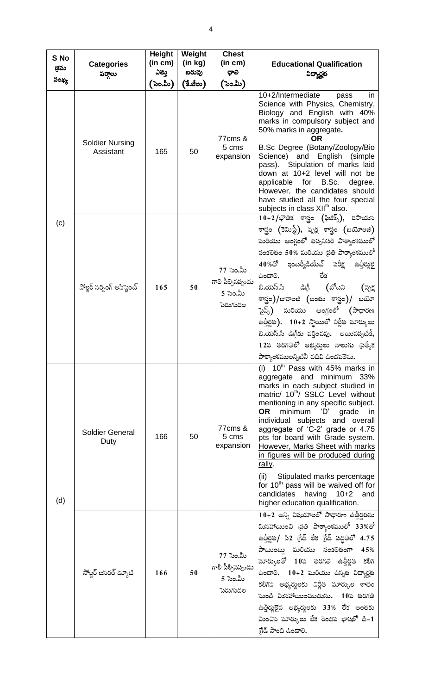| S No<br>క్రమ | <b>Categories</b><br>వర్తాలు        | <b>Height</b><br>(in cm)<br>ఎతు | Weight<br>(in kg)<br>బరువు | <b>Chest</b><br>(in cm)<br>ಧಾ                                      | <b>Educational Qualification</b><br>విద్యార్థత                                                                                                                                                                                                                                                                                                                                                                                                                                                                                                                                                                      |
|--------------|-------------------------------------|---------------------------------|----------------------------|--------------------------------------------------------------------|---------------------------------------------------------------------------------------------------------------------------------------------------------------------------------------------------------------------------------------------------------------------------------------------------------------------------------------------------------------------------------------------------------------------------------------------------------------------------------------------------------------------------------------------------------------------------------------------------------------------|
| సంఖ్య        |                                     | (`ಸಿಂ.ಮಿ)                       | (కే.జీలు)                  | (ಒಂ.ಮಿ)                                                            |                                                                                                                                                                                                                                                                                                                                                                                                                                                                                                                                                                                                                     |
|              | <b>Soldier Nursing</b><br>Assistant | 165                             | 50                         | 77cms &<br>5 cms<br>expansion                                      | 10+2/Intermediate<br>pass<br>in<br>Science with Physics, Chemistry,<br>Biology and English with 40%<br>marks in compulsory subject and<br>50% marks in aggregate.<br>OR<br>B.Sc Degree (Botany/Zoology/Bio<br>Science) and English (simple<br>pass). Stipulation of marks laid<br>down at 10+2 level will not be<br>applicable for B.Sc.<br>degree.<br>However, the candidates should<br>have studied all the four special<br>subjects in class XII <sup>th</sup> also.                                                                                                                                             |
| (c)          | సోల్జర్ సర్పింగ్ అసిస్టెంట్         | 165                             | 50                         | 77 సెం.మీ<br>గాలి పీల్చిసప్పుడు<br>5 సెం.మీ<br>పెరుగుదల            | $10+2/\tilde{\varphi}$ తిక శాస్త్రం (ఫిజిక్స్), రసాయన<br>శాస్త్రం (కెమిస్టీ), వృక్ష శాస్త్రం (బయోలజి)<br>మరియు ఆంగ్లంలో తప్పనిసరి పాఠ్యాంశములో<br>సంకలితం 50% మరియు (పతి పాఠ్యాంశములో<br>40%తో ఇంటర్మీడియేట్ పరీక్ష ఉత్తీర్ణులై<br>ఉండాలి.<br>లేక<br>బి.యస్.సి డిగ్రీ (బోటని (పృక్ష<br>శాస్త్రం)/జువాలజి (జంతు శాస్త్రం)/ బయో<br>సైన్స్) పురియు ఆంగ్లంలో (సాధారణ<br>ఉత్తీర్ణత). 10+2 స్థాయిలో నిర్ణీత మార్కులు<br>బి.యస్.సి డిగ్రీకు వర్తించవు. అయినపృటికీ,<br>12వ తరగతిలో అభ్యర్శలు నాలుగు (ప్యత్యేక<br>పాఠ్యాంశములన్నిటినీ చదివి ఉండవలెను.                                                                        |
| (d)          | <b>Soldier General</b><br>Duty      | 166                             | 50                         | 77cms &<br>5 cms<br>expansion                                      | (i) $10^{th}$ Pass with 45% marks in<br>aggregate and minimum 33%<br>marks in each subject studied in<br>matric/ 10 <sup>th</sup> / SSLC Level without<br>mentioning in any specific subject.<br><b>OR</b><br>minimum 'D'<br>grade<br><sub>in</sub><br>individual subjects and overall<br>aggregate of 'C-2' grade or 4.75<br>pts for board with Grade system.<br>However, Marks Sheet with marks<br>in figures will be produced during<br>rally.<br>(ii)<br>Stipulated marks percentage<br>for 10 <sup>th</sup> pass will be waived off for<br>candidates<br>having 10+2<br>and<br>higher education qualification. |
|              | సోల్డర్ జసరల్ డ్యూటి                | 166                             | 50                         | 77 సెం.మీ<br>గాలి పీల్చినప్పుడు<br> <br>      5 సెం.మీ<br>పెరుగుదల | 10+2 అన్ని విషయాలలో సాధారణ ఉత్తీర్ణతను<br>మినహాయించి (పతి పాఠ్యాంశములో 33%తో<br>ఉత్తీర్ణత/ సి2 గ్రేడ్ లేక గ్రేడ్ పద్ధతిలో 4.75<br>పాయింట్లు పురియు సంకలితంగా 45%<br>మార్కులతో 10వ తరగతి ఉత్తీర్ణత కలిగి<br>ఉండాలి. 10+2 మరియు ఉస్సత విద్యార్థత<br>కలిగిన అభ్యర్శలకు నిర్ణీత మార్కుల శాతం<br>సుండి మినహాయించబడును. 10వ తరగతి<br>ఉత్తీర్ణులైన అభ్యర్శలకు 33% లేక అంతకు<br>మించిస మార్కులు లేక రెండవ భాషలో డి–1<br>గేడ్ పొంది ఉండాలి.                                                                                                                                                                                  |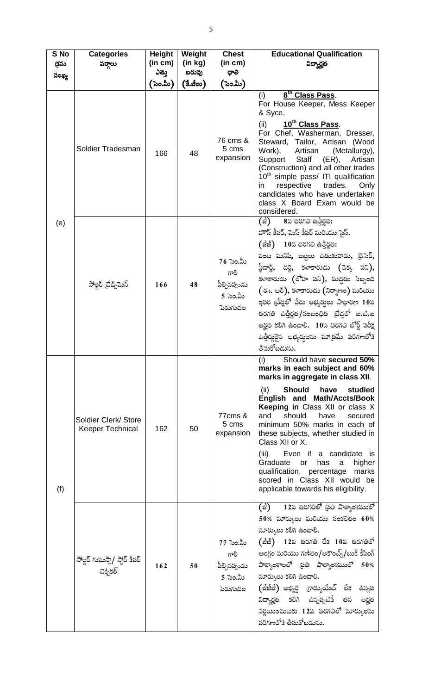| S No<br>క్రమ | <b>Categories</b><br>వర్గాలు                    | <b>Height</b><br>(in cm) | Weight<br>(in kg)<br>బరువు | <b>Chest</b><br>(in cm)                                    | <b>Educational Qualification</b><br>ವಿದ್ಯಾರ್ರ್ನ                                                                                                                                                                                                                                                                                                                                                                                                                                                                           |
|--------------|-------------------------------------------------|--------------------------|----------------------------|------------------------------------------------------------|---------------------------------------------------------------------------------------------------------------------------------------------------------------------------------------------------------------------------------------------------------------------------------------------------------------------------------------------------------------------------------------------------------------------------------------------------------------------------------------------------------------------------|
| సంఖ్య        |                                                 | ఎతుౖ<br>(`ನಿಂ.ಮಿ)        | (కే.జీలు)                  | ಧಾ<br>('ಸಿಂ.ಮಿ)                                            |                                                                                                                                                                                                                                                                                                                                                                                                                                                                                                                           |
| (e)          | Soldier Tradesman                               | 166                      | 48                         | 76 cms &<br>5 cms<br>expansion                             | 8 <sup>th</sup> Class Pass.<br>(i)<br>For House Keeper, Mess Keeper<br>& Syce.<br>10 <sup>th</sup> Class Pass.<br>(ii)<br>For Chef, Washerman, Dresser,<br>Steward, Tailor, Artisan (Wood<br>Work),<br>Artisan<br>(Metallurgy),<br>(ER),<br>Support Staff<br>Artisan<br>(Construction) and all other trades<br>10 <sup>th</sup> simple pass/ ITI qualification<br>respective<br>trades.<br>Only<br>in<br>candidates who have undertaken<br>class X Board Exam would be<br>considered.                                     |
|              | సోల్జర్ ట్రేడ్స్మ్ష్                            | 166                      | 48                         | 76 సెం.మీ<br>ಗಾಲಿ<br>పీల్చిసప్పుడు<br>5 సెం.మీ<br>పెరుగుదల | (జీ) 8వ తరగతి ఉత్తీర్ణత:<br>హౌస్ కీపర్, మెస్ కీపర్ మరియు సైస్.<br>$(\hat{z}\hat{z})$ 10వ తరగతి ఉత్తీర్ణత:<br>పంట మనిషి, బట్టలు ఉతుకువాడు, డైసెర్,<br>స్టీడార్డ్, దర్జి, కళాకారుడు (చెక్క పని),<br>కళాకారుడు (లోహ పని), మద్దతు సిబ్బంది<br>(ఈ. ఆర్), కళాకారుడు (నిర్మాణం) మరియు<br>ఇతర ట్రేడ్లలో చేరు అభ్యర్శలు సాధారణ 10వ<br>తరగతి ఉత్తీర్ణత/సంబంధిత ట్రేడ్లలో ఐ.టి.ఐ<br>అర్హత కలిగి ఉండాలి. 10వ తరగతి బోర్డ్ పరీక్ష<br>ఉత్తీర్ణులైన అభ్యర్శలను మాత్రమే పరిగణలోకి<br>తీసుకోబడుసు.                                         |
| (f)          | Soldier Clerk/ Store<br><b>Keeper Technical</b> | 162                      | 50                         | 77cms &<br>5 cms<br>expansion                              | (i)<br>Should have secured 50%<br>marks in each subject and 60%<br>marks in aggregate in class XII.<br>Should have<br>studied<br>(ii)<br>English and Math/Accts/Book<br>Keeping in Class XII or class X<br>should<br>and<br>have<br>secured<br>minimum 50% marks in each of<br>these subjects, whether studied in<br>Class XII or X.<br>Even if a candidate is<br>(iii)<br>Graduate<br>has<br>higher<br>or<br>a<br>qualification, percentage marks<br>scored in Class XII would be<br>applicable towards his eligibility. |
|              | సోల్జర్ గుమస్తా/ స్టోర్ కీపర్<br>చెక్సికల్      | 162                      | 50                         | 77 సెం.మీ<br>ಗಾಲಿ<br>పీల్చిసప్పుడు<br>5 సెం.మీ<br>పెరుగుదల | (జీ) 12వ తరగతిలో (పతి పాఠ్యాంశములో<br>$50\%$ మార్కులు మరియు సంకలితం 60%<br>మార్కులు కలిగి ఉండాలి.<br>(జీజీ) 12వ తరగతి లేక 10వ తరగతిలో<br>ఆంగ్టం మరియు గణితం/అకౌంట్స్/బుక్ కీపింగ్<br>పాఠ్యాంశాలలో (పతి పాఠ్యాంశములో 50%<br>మార్కులు కలిగి ఉండాలి.<br>(జీజీజీ) అభ్యర్ధి గ్రాడ్యుయేట్ లేక ఉస్నత<br>విద్యార్హత కలిగి ఉస్నప్పటికీ తన అర్హత<br>నిర్ణయించుటకు 12వ తరగతిలో మార్కులను<br>పరిగణలోకి తీసుకోబడును.                                                                                                                   |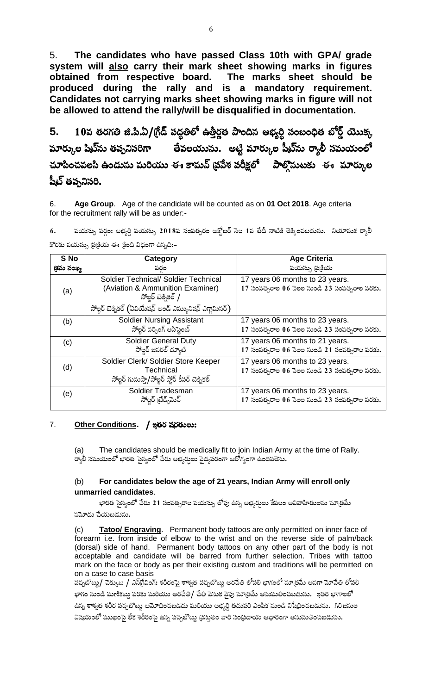5. The candidates who have passed Class 10th with GPA/ grade system will also carry their mark sheet showing marks in figures obtained from respective board. The marks sheet should be produced during the rally and is a mandatory requirement. Candidates not carrying marks sheet showing marks in figure will not be allowed to attend the rally/will be disqualified in documentation.

10వ తరగతి జి.పి.ఏ/(గేడ్ పద్ధతిలో ఉత్తీర్ణత పొందిన అభ్యర్ధి సంబంధిత బోర్డ్ యొక్క 5. మార్కుల షిట్ను తప్పనిసరిగా అలేవలయును. అట్టి మార్కుల షీట్ను ర్యాలీ సమయంలో చూపించవలసి ఉండును మరియు ఈ కామన్ (ప్రపేశ పరీక్షలో పాల్గొనుటకు ఈ మార్కుల షీట్ తప్పనిసరి.

Age Group. Age of the candidate will be counted as on 01 Oct 2018. Age criteria 6. for the recruitment rally will be as under:-

పయస్సు వర్గం: అభ్యర్ధి వయస్సు 2018వ సంవత్సరం అక్టోబర్ సెల 1వ తేదీ నాటికి లెక్కించబడును. నియామక ర్యాలీ 6. కొరకు పయస్సు ప్రక్రియ ఈ క్రింది విధంగా ఉప్పది:-

| S No        | Category                                                                                                                                                   | <b>Age Criteria</b>                                                              |
|-------------|------------------------------------------------------------------------------------------------------------------------------------------------------------|----------------------------------------------------------------------------------|
| (క్రమ సంఖ్య | పరం                                                                                                                                                        | పయస్సు (ప్రక్రియ                                                                 |
| (a)         | Soldier Technical/ Soldier Technical<br>(Aviation & Ammunition Examiner)<br>సోల్హర్ చిక్నికల్ /<br>సోల్జర్ చెక్నికల్ (ఏవియేషన్ అండ్ ఎమ్యునిషన్ ఎగ్జామిసర్) | 17 years 06 months to 23 years.<br>17 సంవత్సరాల 06 సెలల నుండి 23 సంవత్సరాల వరకు. |
| (b)         | <b>Soldier Nursing Assistant</b><br>సోల్టర్ సర్పింగ్ అసిస్టెంట్                                                                                            | 17 years 06 months to 23 years.<br>17 సంవత్సరాల 06 సెలల నుండి 23 సంవత్సరాల వరకు. |
| (c)         | <b>Soldier General Duty</b><br>సోల్టర్ జసరల్ డ్యూటి                                                                                                        | 17 years 06 months to 21 years.<br>17 సంవత్సరాల 06 సెలల నుండి 21 సంవత్సరాల వరకు. |
| (d)         | Soldier Clerk/ Soldier Store Keeper<br>Technical<br>సోల్జర్ గుమస్తా/సోల్జర్ స్టోర్ కీపర్ టెక్నికల్                                                         | 17 years 06 months to 23 years.<br>17 సంవత్సరాల 06 సెలల నుండి 23 సంవత్సరాల వరకు. |
| (e)         | Soldier Tradesman<br>సోల్షర్ (బేడ్చ్ఎున్                                                                                                                   | 17 years 06 months to 23 years.<br>17 సంవత్సరాల 06 సెలల నుండి 23 సంవత్సరాల వరకు. |

#### $7.$ Other Conditions. / ఇతర షరతులు:

The candidates should be medically fit to join Indian Army at the time of Rally.  $(a)$ ర్యాలీ సమయంలో భారత సైన్యంలో చేరు అభ్యర్శలు వైద్యపరంగా ఆరోగ్యంగా ఉండవలెసు.

#### For candidates below the age of 21 years, Indian Army will enroll only  $(b)$ unmarried candidates.

భారత సైన్యంలో చేరు 21 సంవత్సరాల వయస్సు లోపు ఉన్న అభ్యర్ధులు కేవలం అవివాహితులసు మాత్రమే సమోదు చేయబడుసు.

Tatoo/ Engraving. Permanent body tattoos are only permitted on inner face of  $(c)$ forearm i.e. from inside of elbow to the wrist and on the reverse side of palm/back (dorsal) side of hand. Permanent body tattoos on any other part of the body is not acceptable and candidate will be barred from further selection. Tribes with tattoo mark on the face or body as per their existing custom and traditions will be permitted on on a case to case basis

పచ్చబొట్ట/ చెక్కుట / ఎన్[్నింగ్: శరీరంపై శాశ్వత పచ్చబొట్టు అరచేతి లోపలి భాగంలో మాత్రమే అనగా మోచేతి లోపలి భాగం సుండి మణికట్టు వరకు మరియు అరచేతి/ చేతి వెసుక వైపు మాత్రమే అనుమతించబడును. ఇతర భాగాలలో ఉన్న శాశ్వత శరీర పచ్చబొట్టు ఆమోదించబడదు మరియు అభ్యర్ధి తదుపరి ఎంపిక నుండి నిషేధించబడును. గిరిజనుల విషయంలో ముఖంపై లేక శరీరంపై ఉన్న పచ్చబొట్ట ప్రస్తుతం వారి సంప్రదాయ ఆధారంగా అనుమతించబడును.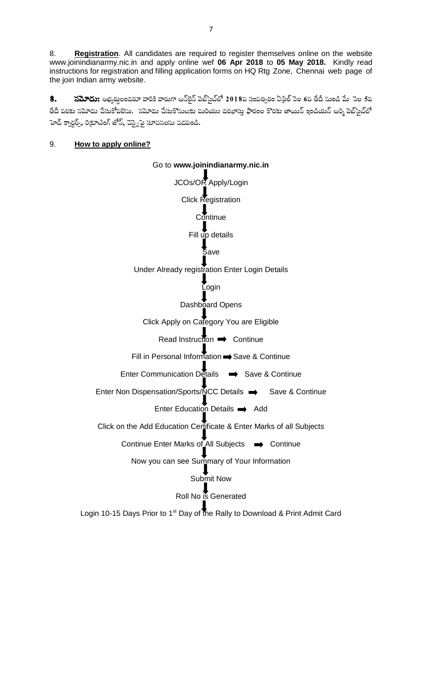Registration. All candidates are required to register themselves online on the website 8. www.joinindianarmy.nic.in and apply online wef 06 Apr 2018 to 05 May 2018. Kindly read instructions for registration and filling application forms on HQ Rtg Zone, Chennai web page of the join Indian army website.

8. **సమోదు:** అభ్యర్తులందరూ వారికి వారుగా ఆన్అైన్ పెబ్సైట్లలో 2018ప సంపత్సరం ఏడ్రిల్ సెల 6ప తేదీ సుండి మే `సెల 5ప తేదీ పరకు సమోదు చేసుకోవలెసు. సమోదు చేసుకొనుటకు పురియు దరఖాసు ఫారంల కొరకు జాయిన్ ఇండియన్ ఆర్మి పెబ్స్టేట్లో హెడ్ క్వార్టర్స్, రిక్రూటింగ్ జోన్, చెస్నైపై సూచనలసు చదవండి.

Go to www.joinindianarmy.nic.in

#### How to apply online? 9.

JCOs/OR\_Apply/Login Click Registration  $\overline{\mathsf{C}}$  ontinue Fill up details  $\overline{\S}$ ave Under Already registration Enter Login Details ┸ Login Dashboard Opens Click Apply on Category You are Eligible Read Instruction  $\rightarrow$  Continue Fill in Personal Information Save & Continue Enter Communication Details → Save & Continue Enter Non Dispensation/Sports/NCC Details → Save & Continue Enter Education Details  $\rightarrow$  Add Click on the Add Education Certificate & Enter Marks of all Subjects Continue Enter Marks of All Subjects → Continue Now you can see Summary of Your Information Submit Now Roll No is Generated Login 10-15 Days Prior to 1<sup>st</sup> Day of the Rally to Download & Print Admit Card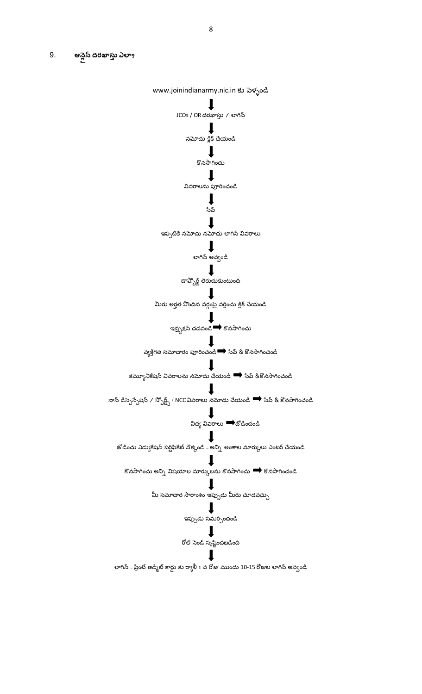9. ఆన్లెస్ దరఖాస్తు ఎలా**?** 

www.joinindianarmy.nic.in కు వెళ్ళండి J JCOs / OR దరఖాస్తు / లాగిన్  $\mathbf{I}$ నమోదు క్లిక్ చేయండి  $\mathbf{l}$ కొనసాగించు  $\downarrow$ వివరాలను పూరించండి  $\downarrow$ సేవ్  $\downarrow$ 

ఇప్పటికే నమోదు నమోదు లాగిన్ వివరాలు

## $\mathbf I$

లాగిన్ అవ్వండి  $\downarrow$ 

.<br>డావ్బోర్డ్ తెరుచుకుంటుంది

 $\bf{l}$ మీరు అర్హత పొందిన వర్గంపై వర్తించు క్లిక్ చేయండి

> $\mathbf l$ .<br>ఇన్స్ట<sub>క్ష</sub>న్ చదవండి ➡ కొనసాగించు

 $\mathbf l$ వ్యక్తిగత సమాచారం పూరించండి <del>••</del> సేవ్ & కొనసాగించండి

 $\mathbf{l}$ కమ్యూనికేషన్ వివరాలను నమోదు చేయండి  $\implies$  సేవ్ &కొనసాగించండి

T నాన్ డిస్పెన్సేషన్ / స్పోర్ట్స్ / NCC వివరాలు నమోదు చేయండి  $\blacktriangleright$  సేవ్ & కొనసాగించండి J

విద్య వివరాలు ➡ోజోడించండి

 $\blacksquare$ జోడించు ఎడ్యుకేషన్ సర్టిఫికేట్ నొక్కండి - అన్ని అంశాల మార్కులు ఎంటర్ చేయండి

л కొనసాగించు అన్ని విషయాల మార్కులను కొనసాగించు  $\implies$  కొనసాగించండి

మీ సమాచార సారాంశం ఇప్పుడు మీరు చూడవచ్చు

l ఇప్పుడు సమర్పించండి

 $\downarrow$ రోల్ నెండ్ స్ృషిసంచబడింది п

లాగిన్ - ప్రింట్ అడ్మిట్ కార్డు కు ర్యాలీ 1 వ రోజు ముందు 10-15 రోజుల లాగిన్ అవ్వండి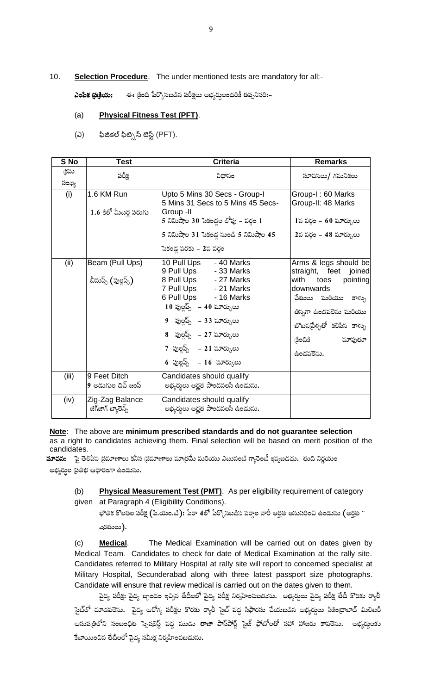#### $10.$ Selection Procedure. The under mentioned tests are mandatory for all:-

ఈ క్రింది పేర్కొనబడిన పరీక్షలు అభ్యర్తులందరికీ తప్పనిసరి:– ఎంపిక (ప(కియ:

#### **Physical Fitness Test (PFT).**  $(a)$

 $(\mathcal{Q})$ ఫిజికల్ ఫిట్నెస్ టెస్ట్ (PFT).

| S No         | <b>Test</b>                            | <b>Criteria</b>                                                                                                                                                                                                                                                               | <b>Remarks</b>                                                                                                                                                                                           |
|--------------|----------------------------------------|-------------------------------------------------------------------------------------------------------------------------------------------------------------------------------------------------------------------------------------------------------------------------------|----------------------------------------------------------------------------------------------------------------------------------------------------------------------------------------------------------|
| ∖కమ<br>సంఖ్య | పరీక్ష                                 | విధానం                                                                                                                                                                                                                                                                        | సూచసలు/ గమనికలు                                                                                                                                                                                          |
| (i)          | 1.6 KM Run<br>1.6 కిలో మీటర్ల పరుగు    | Upto 5 Mins 30 Secs - Group-I<br>5 Mins 31 Secs to 5 Mins 45 Secs-<br>Group -II<br>5 నిమిషాల 30 సెకండ్లల లోపు – పర్గం 1<br>5 నిమిషాల 31 సెకండ్ల నుండి 5 నిమిషాల 45<br>సెకండ్ల వరకు – 2వ వర్గం                                                                                 | Group-I: 60 Marks<br>Group-II: 48 Marks<br>1వ వర్గం – 60 మార్కులు<br>2వ వర్గం - 48 మార్కులు                                                                                                              |
| (ii)         | Beam (Pull Ups)<br>బీమష్స్ (పుల్లష్స్) | 10 Pull Ups - 40 Marks<br>9 Pull Ups - 33 Marks<br>8 Pull Ups - 27 Marks<br>7 Pull Ups - 21 Marks<br>6 Pull Ups - 16 Marks<br>10 ఫుల్లప్స్  – 40 మార్కులు<br>9 పుల్జప్స్ – 33 మార్కులు<br>8 పుల్జప్స్ – 27 మార్కులు<br>7 పుల్జప్స్ – 21 మార్కులు<br>6 ఫుల్హప్స్ - 16 మార్కులు | Arms & legs should be<br>straight, feet joined<br>with<br>pointing<br>toes<br>downwards<br>చేతులు మరియు కాళ్ళు<br>తిస్నగా ఉండపలెసు మరియు<br>బొటసదేళ్ళతో కలిపిస కాళ్ళు<br>చూపుతూ<br>(දිංධිදි<br>ఉండవలెసు. |
| (iii)        | 9 Feet Ditch<br>9 అడుగుల దిచ్ జంప్     | Candidates should qualify<br>అభ్యర్ధులు అర్హత పొందపలసి ఉండును.                                                                                                                                                                                                                |                                                                                                                                                                                                          |
| (iv)         | Zig-Zag Balance<br>జిగ్ఆాగ్ బ్యాలెన్స్ | Candidates should qualify<br>అభ్యర్ధులు అర్హత పొందపలసి ఉండును.                                                                                                                                                                                                                |                                                                                                                                                                                                          |

Note: The above are minimum prescribed standards and do not guarantee selection as a right to candidates achieving them. Final selection will be based on merit position of the candidates.

**సూచస:** పై తెలిపిన ప్రమాణాలు కనీస (ప్రమాణాలు మాత్రమే మరియు ఎటువంటి గ్యారెంటీ ఇవ్వబడదు. తుది నిర్ణయం అభ్యర్ధుల ప్రతిభ ఆధారంగా ఉండును.

Physical Measurement Test (PMT). As per eligibility requirement of category  $(b)$ given at Paragraph 4 (Eligibility Conditions).

భౌతిక కొలతల పరీక్ష (పి.యం.టి): పేరా 4లో పేర్కొసబడిన పరా్ల వారీ అర్హత అనుసరించి ఉండును (అర్హత గ ఎరతులు).

 $(c)$ **Medical.** The Medical Examination will be carried out on dates given by Medical Team. Candidates to check for date of Medical Examination at the rally site. Candidates referred to Military Hospital at rally site will report to concerned specialist at Military Hospital, Secunderabad along with three latest passport size photographs. Candidate will ensure that review medical is carried out on the dates given to them.

ఫైద్య పరీక్ష: వైద్య బృందం ఇచ్చిన తేదీలలో వైద్య పరీక్ష నిర్వహించబడును. అభ్యర్శలు వైద్య పరీక్ష తేదీ కొరకు ర్యాలీ సైట్లో చూడవలెను. వైద్య ఆరోగ్య పరీక్షల కొరకు ర్యాలీ సైట్ పద్ద సిఫారసు చేయబడిన అభ్యర్ధలు సికింద్రాబాద్ మిలిటరీ ఆసుపత్రిలోని సంబంధిత స్పెషలిస్ట్ పద్ద ముడు తాజా పాస్ఏోర్ట్ సైజ్ ఫోటోలతో సహా హాజరు కాపలెను. అభ్యర్శలకు కేటాయించిన తేదీలలో ఫైద్య సమీక్ష నిర్వహించబడును.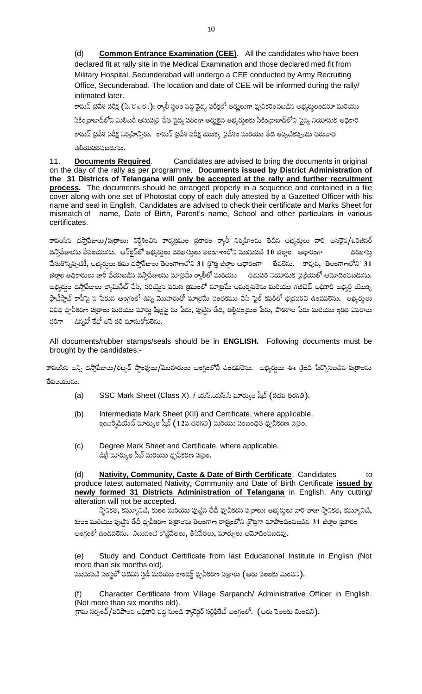Common Entrance Examination (CEE). All the candidates who have been  $(d)$ declared fit at rally site in the Medical Examination and those declared med fit from Military Hospital, Secunderabad will undergo a CEE conducted by Army Recruiting Office, Secunderabad. The location and date of CEE will be informed during the rally/ intimated later.

10

కామన్ థ్రవేశ పరీక్ష (సి.ఈ.ఈ): ర్యాలీ స్థలం పద్ధ పైద్య పరీక్షలో అర్హులుగా ధృవీకరించబడిస అభ్యర్శలందరూ పురియు సికింద్రాబాద్లోని మిలిటరీ ఆసుపత్రి చేత వైద్య <mark>పరంగా</mark> అర్హులైస అభ్యర్దలకు సికింద్రాబాద్లోని సైన్య నియామక అధికారి కామన్ (పపేశ పరీక్ష నిర్వహిస్తారు. కామన్ (పపేశ పరీక్ష యొక్క (పదేశం పురియు తేది అప్పటికప్పుడు తరువాత తెలియపరచబడును.

**Documents Required.** Candidates are advised to bring the documents in original  $11.$ on the day of the rally as per programme. Documents issued by District Administration of the 31 Districts of Telangana will only be accepted at the rally and further recruitment process. The documents should be arranged properly in a sequence and contained in a file cover along with one set of Photostat copy of each duly attested by a Gazetted Officer with his name and seal in English. Candidates are advised to check their certificate and Marks Sheet for mismatch of name, Date of Birth, Parent's name, School and other particulars in various certificates.

కావలసిన దస్తాపేజులు/ప(తాలు: నిర్దేశించిన కార్యక్రమం (పకారం ర్యాలీ నిర్వహించు తేదీన అభ్యర్నలు వారి అసలైన/ఒరిజిసల్ దస్తాపేజులను తేవలయును. ఆస్ట్రెస్ట్ అభ్యద్ధలు దరఖాస్తులు తెలంగాణలోని ముసుపటి 10 జిల్లాల ఆధారంగా దరఖాసు చేసుకొన్నప్పటికీ, అభ్యర్శలు తమ దస్తాపేజులు తెలంగాణలోని 31 క్రొత్త జిల్లాల ఆధారంగా తేవలెను. కావుస, తెలంగాణలోని 31 జిల్లల అధికారులు జారీ చేయబడిన దస్తాపేజులను మాత్రమే ర్యాలీలో మరియు — తదుపరి నియామక (ప్రక్రియలో ఆమోదించబడును. అభ్యర్ధుల దస్తాపేజులు ల్యామిసేట్ చేసి, సరియైన వరుస (కమంలో మా(తమే అమర్చవలెసు మరియు గజిటెడ్ అధికారి అభ్యర్ధి యొక్క ఫొటీస్టాట్ కాపీపై స<sup>్</sup>పేరుస ఆంగ్లంలో ఉన్న మొహరుతో మాత్రమే సంతకము చేసి ఫైల్ కవర్లో భద్రపరచి ఉంచవలెను. అభ్యర్శలు వివిధ ధృవీకరణ పత్రాలు మరియు మార్లు షీట్లపై మ పేరు, పుట్టిన తేది, తల్లిదండ్రుల పేరు, పాఠశాల పేరు మరియు ఇతర వివరాలు సరిగా ఉస్నవో లేవో అసే సరి చూసుకోవలెను.

All documents/rubber stamps/seals should be in **ENGLISH.** Following documents must be brought by the candidates:-

కావలసిన అన్ని దస్తాపేజులు/రబ్బర్ స్టాంపులు/మొహరులు ఆంగ్లంలోనే ఉండపలెను. అభ్యర్శలు ఈ క్రింది పేర్కొనబడిన పత్రాలను తేపలయుసు.

- SSC Mark Sheet (Class X). / యస్.యస్.సి మార్కుల షీట్ (పదవ తరగతి).  $(a)$
- Intermediate Mark Sheet (XII) and Certificate, where applicable.  $(b)$ ఇంటర్మీడియేట్ మార్కుల షీట్ ( 1 2వ తరగతి) మరియు సంబంధిత ధృవీకరణ ప@ుం.
- $(c)$ Degree Mark Sheet and Certificate, where applicable. డిగ్రీ పూర్కుల సీట్ మరియు ధ్నవీకరణ పత్రం.

**Nativity, Community, Caste & Date of Birth Certificate.** Candidates (d) to produce latest automated Nativity, Community and Date of Birth Certificate issued by newly formed 31 Districts Administration of Telangana in English. Any cutting/ alteration will not be accepted.

స్తానికత, కమ్యూనిటి, కులం మరియు పుట్టిన తేదీ ధృవీకరస పత్రాలు: అభ్యర్శలు వారి తాజా స్థానికత, కమ్యూనిటి, కులం మరియు పుట్టిన తేదీ ధృవీకరణ పత్రాలను తెలంగాణ రాష్ట్రంలోని క్రొత్తగా రూపొందించబడిన 31 జిల్లాల ప్రకారం ఆంగ్లంలో ఉండపలెను. ఎటువంటి కొట్టిపేతలు, తీసిపేతలు, మార్పులు ఆమోదించబడవు.

Study and Conduct Certificate from last Educational Institute in English (Not  $(e)$ more than six months old).

మునుపటి సంస్థలో చదివిన స్డడీ మరియు కాండక్ట్ ధృవీకరణ ప@ాలు (ఆరు నెలలకు మించని).

Character Certificate from Village Sarpanch/ Administrative Officer in English. (Not more than six months old). గ్రామ సర్పంచ్/పరిపాలన అధికారి వద్ద సుండి క్యారెక్టర్ సర్టిఫికేట్ ఆంగ్లంలో. (ఆరు సెలలకు మించని).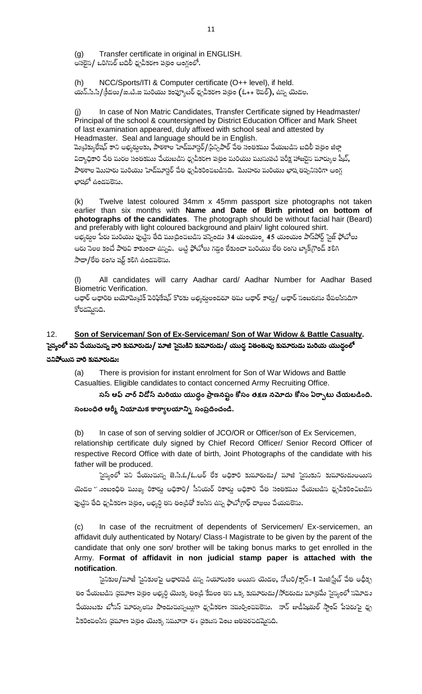Transfer certificate in original in ENGLISH.  $(a)$ అసలైన/ ఒరిగినల్ బదిలీ ధృవీకరణ ప(తం ఆంగ్లంలో.

 $(h)$ NCC/Sports/ITI & Computer certificate (O++ level), if held. యన్.సి.సి/క్రీడలు/ఐ.టి.ఐ మరియు కంప్యూటర్ ధృవీకరణ పత్రం (ఓ++ లెవల్), ఉస్న యెడల.

In case of Non Matric Candidates, Transfer Certificate signed by Headmaster/ Principal of the school & countersigned by District Education Officer and Mark Sheet of last examination appeared, duly affixed with school seal and attested by Headmaster. Seal and language should be in English. పెుటిక్యులేషన్ కాని అభ్యర్శలకు, పాఠశాల హెడ్మూస్టర్/(పిన్సిపాల్ చేత సంతకము చేయబడిన బదిలీ పత్రం జిల్లా విద్యాధికారి చేత మరల సంతకము చేయబడిన ధ్నవీకరణ ప⁄త్రం మరియు ముసుపటి పరీక్ష హాజరైన మార్కుల షీట్, పాఠశాల మొహరు మరియు హెడ్మూస్టర్ చేత ధృవీకరించబడినది. మొహరు మరియు భాష తప్పనిసరిగా ఆంగ్ల భాషలో ఉండపలెసు.

Twelve latest coloured 34mm x 45mm passport size photographs not taken  $(k)$ earlier than six months with Name and Date of Birth printed on bottom of photographs of the candidates. The photograph should be without facial hair (Beard) and preferably with light coloured background and plain/ light coloured shirt. అభ్యర్ధుల పేరు మరియు పుట్టిన తేది ముద్రించబడిన పస్నెండు 34 యంయం్డ 45 యంయం పాస్ఏిోర్ట్ సైజ్ ఫోటోలు ఆరు సెలల కంటే పాతవి కాకుండా ఉస్నవి. అట్టి ఫోటోలు గడ్డం లేకుండా పురియు లేత రంగు బ్యాక్(గౌండ్ కలిగి

సాదా/లేత రంగు షర్ట్ కలిగి ఉండవలెను.

All candidates will carry Aadhar card/ Aadhar Number for Aadhar Based  $(1)$ **Biometric Verification.** 

ఆధార్ ఆధారిత బయోమెట్రిక్ పెరిఫికేషన్ కొరకు అభ్యర్తులందరూ తమ ఆధార్ కార్డు/ ఆధార్ సంబరుసు తేవలసినదిగా కోరడమైనది.

### Son of Serviceman/ Son of Ex-Serviceman/ Son of War Widow & Battle Casualty.  $12<sub>1</sub>$ సైన్యంలో పని చేయుచున్న వారి కుమారుడు/ మాజి సైనుకిని కుమారుడు/ యుద్ధ వితంతువు కుమారుడు మరియ యుద్ధంలో చనిపోయిన వారి కుమారుడు:

There is provision for instant enrolment for Son of War Widows and Battle  $(a)$ Casualties. Eligible candidates to contact concerned Army Recruiting Office.

సస్ ఆఫ్ వార్ విడోస్ మరియు యుద్ధం ప్రాణనష్టం కోసం తక్షణ నమోదు కోసం ఏర్పాటు చేయబడింది. సంబంధిత ఆర్మీ నియామక కార్యాలయాన్ని సంప్రదించండి.

In case of son of serving soldier of JCO/OR or Officer/son of Ex Servicemen,  $(b)$ relationship certificate duly signed by Chief Record Officer/ Senior Record Officer of respective Record Office with date of birth, Joint Photographs of the candidate with his father will be produced.

సైన్యంలో పని చేయుచున్న జె.సి.ఓ/ఓ.ఆర్ లేక అధికారి కుమారుడు/ మాజి సైనుకుని కుమారుడుఅయిన యెడల ´ నంబంధిత ముఖ్య రికార్డు అధికారి/ సీనియర్ రికార్డు అధికారి చేత సంతకము చేయబడిస ధృవీకరించిబడిస పుట్టిన తేది ధృవీకరణ పత్రం, అభ్యర్ధి తన తండ్రితో కలసిన ఉన్న ఫొటోగ్రాఫ్ దాఖలు చేయవలెను.

 $(c)$ In case of the recruitment of dependents of Servicemen/ Ex-servicemen, an affidavit duly authenticated by Notary/ Class-I Magistrate to be given by the parent of the candidate that only one son/ brother will be taking bonus marks to get enrolled in the Army. Format of affidavit in non judicial stamp paper is attached with the notification.

సైనికుల/మాజీ సైనికులపై ఆధారపడి ఉన్న నియామకం అయిన యెడల, నోటరి/క్లాస్–1 మెజి(స్టేట్ చేత అధీకృ తం చేయబడిన ప్రమాణ ప్రతం అభ్యర్థి యొక్క తండ్రి కేవలం తన ఒక్క కుమారుడు/సోదరుడు మాత్రమే సైన్యంలో నమోదు చేయుటకు బోనస్ మార్కులను పొందుచున్నట్లగా ధృవీకరణ సమర్పించవలెను. నాన్ జుడీషియల్ స్టాంప్ పేపరుపై ధృ వీకరింపలసిన (పమాణ ప(తం యొక్క సమూనా ఈ (పకటన పెంట జతపరచడమైనది.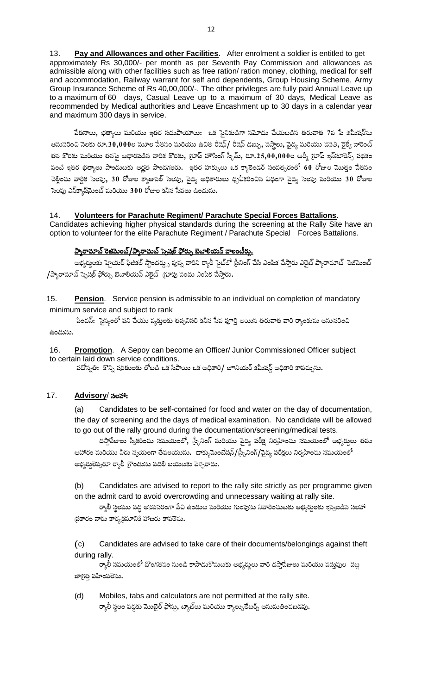Pay and Allowances and other Facilities. After enrolment a soldier is entitled to get  $13.$ approximately Rs 30,000/- per month as per Seventh Pay Commission and allowances as admissible along with other facilities such as free ration/ ration money, clothing, medical for self and accommodation, Railway warrant for self and dependents, Group Housing Scheme, Army Group Insurance Scheme of Rs 40,00,000/-. The other privileges are fully paid Annual Leave up to a maximum of 60 days, Casual Leave up to a maximum of 30 days, Medical Leave as recommended by Medical authorities and Leave Encashment up to 30 days in a calendar year and maximum 300 days in service.

పేతనాలు, భత్యాలు మరియు ఇతర సదుపాయాలు: ఒక సైనికుడిగా సమోదు చేయబడిన తరువాత 7వ పే కమీషన్ను అనుసరించి సెలకు రూ.30,000ల మూల పేతనం మరియు ఉచిత రీషస్/ రీషన్ డబ్బు, పస్తాలు, పైద్య మరియు పసతి, రైల్వే వారెంట్ తస కొరకు మరియు తసపై ఆధారపడిస వారిక కొరకు, గ్రూప్ హౌసింగ్ స్కీప్, రూ.25,00,000ల ఆర్మీ గ్రూప్ ఇన్**సూరెన్స్ పథకం** వంటి ఇతర భత్యాలు పొందుటకు అర్హత పొందగలరు. ఇతర హక్కులు ఒక క్యాలెండర్ సంవత్సరంలో 60 రోజుల మొత్తం పేతసం చెల్లించు వార్షిక సెలవు, 30 రోజుల క్యాజువల్ సెలవు, వైద్య అధికారులు ధృవీకరించిన విధంగా వైద్య సెలవు మరియు 30 రోజుల సెలఫు ఎస్క్హాష్మెంట్ మరియు 300 రోజుల కనీస సేవలు ఉండును.

#### Volunteers for Parachute Regiment/ Parachute Special Forces Battalions.  $14.$

Candidates achieving higher physical standards during the screening at the Rally Site have an option to volunteer for the elite Parachute Regiment / Parachute Special Forces Battalions.

## ప్యారాచూట్ రెజిమెంట్/ప్యారాచుట్ స్పెషల్ ఫోర్ను బెటాలియన్ వాలంటీర్లు.

అభ్యర్థలకు హైయర్ ఫిజికల్ స్టాండర్డ్స పుస్న వారిని ర్యాలీ సైట్లో స్రీనింగ్ చేసి ఎంపిక చేస్తారు ఎలైట్ ప్యారాచూట్ రెజిమెంట్ /ప్యారాచూట్ స్పెషల్ ఫోర్పు బెటాలియన్ ఎలైట్ (గూపు సందు ఎంపిక చేస్తారు.

15. Pension. Service pension is admissible to an individual on completion of mandatory minimum service and subject to rank

పించన్: ెస్యాంలో పని చేయు వ్యక్తులకు తప్పనిసరి కనీస సేప పూర్తి అయిన తరువాత వారి ర్యాంకును అనుసరించి ఉండుసు.

Promotion. A Sepoy can become an Officer/ Junior Commissioned Officer subject  $16.$ to certain laid down service conditions.

పదోస్పతి: కొన్ని షరతులకు లోబడి ఒక సిపాయి ఒక అధికారి/ జూనియర్ కమీషన్డ్ అధికారి కావచ్చును.

#### $17.$ Advisory/ సలహా:

 $(a)$ Candidates to be self-contained for food and water on the day of documentation, the day of screening and the days of medical examination. No candidate will be allowed to go out of the rally ground during the documentation/screening/medical tests.

దస్తాపేజులు స్వీకరించు సమయంలో, స్కీనింగ్ మరియు వైద్య పరీక్ష నిర్వహించు సమయంలో అభ్యర్శలు తపు ఆహారం మరియు నీరు స్వయంగా తేవలయుసు. డాక్యుమెంటేషన్/(స్కీనింగ్/పైద్య పరీక్షలు నిర్వహించు సమయంలో అభ్యర్ధలెవ్వరూ ర్యాలీ గ్రౌండును వదిలి బయటకు పెళ్ళరాదు.

Candidates are advised to report to the rally site strictly as per programme given  $(b)$ on the admit card to avoid overcrowding and unnecessary waiting at rally site.

ర్యాలీ స్థలము వద్ద అసవసరంగా పేచి ఉండుట మరియు గుంపును నివారించుటకు అభ్యర్శలకు ఇవ్వబడిన సలహా ఫ్రకారం వారు కార్యక్రమానికి హాజరు కావలెను.

 $(c)$ Candidates are advised to take care of their documents/belongings against theft during rally.

ర్యాలీ సపుయంలో దొంగతసం నుండి కాపాడుకొనుటకు అభ్యర్శలు వారి దస్తాపేజులు మరియు పస్తువుల .పట్ల జాగ్రత్త వహింపలెసు.

 $(d)$ Mobiles, tabs and calculators are not permitted at the rally site. ర్యాలీ స్థలం వద్దకు మొబైల్ ఫోన్లు, ట్యాబ్లు మరియు క్యాల్కులేటర్స్ అసుమతించబడవు.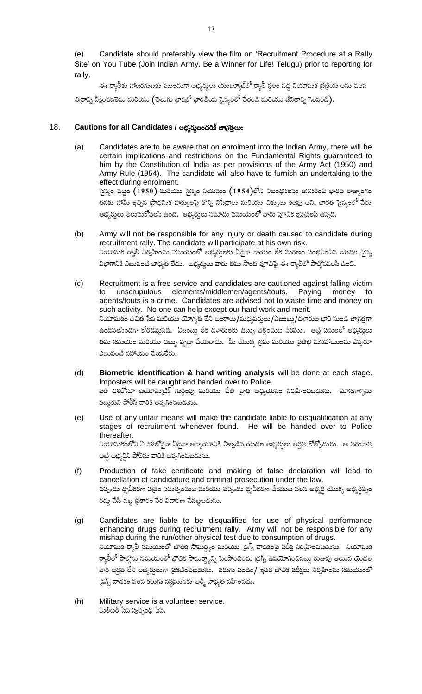Candidate should preferably view the film on 'Recruitment Procedure at a Rally  $(e)$ Site' on You Tube (Join Indian Army. Be a Winner for Life! Telugu) prior to reporting for rally.

ఈ ర్యాలీకు హాజరగుటకు ముందుగా అభ్యర్శలు యుట్యూబ్లో ర్యాలీ స్థలం వద్ద నియామక ప్రక్రియ అను చలస చిత్రాన్ని వీక్షించవలెసు మరియు (తెలుగు భాషలో భారతీయ సైన్యంలో చేరండి మరియు జీవితాన్ని గెలవండి).

#### Cautions for all Candidates / అభ్యర్థులందరికీ జాగ్రత్తలు: 18.

- Candidates are to be aware that on enrolment into the Indian Army, there will be  $(a)$ certain implications and restrictions on the Fundamental Rights guaranteed to him by the Constitution of India as per provisions of the Army Act (1950) and Army Rule (1954). The candidate will also have to furnish an undertaking to the effect during enrolment. సైన్యం చట్టం  $(1950)$  మరియు సైన్యం నియమం  $(1954)$ లోని నిబంధసలను అససరించి భారత రాజ్యాంగం తసకు హామీ ఇచ్చిన (పాధమిక హక్కులపై కొన్ని నిషేధాలు మరియు చిక్కులు కలవు అని, భారత సైస్యంలో చేరు అభ్యర్ధులు తెలుసుకోవలసి ఉంది. అభ్యర్ధులు సమోదు సమయంలో వారు పూనిక ఇవ్వవలసి ఉస్నది.
- Army will not be responsible for any injury or death caused to candidate during  $(b)$ recruitment rally. The candidate will participate at his own risk. నియాపుక ర్యాలీ నిర్వహించు సమయంలో అభ్యర్నలకు ఏదైనా గాయం లేక మరణం సంభవించిన యెడల సైన్య విభాగానికి ఎటువంటి బాధ్యత లేదు. అభ్యర్శలు వారు తమ సొంత పూచీపై ఈ ర్యాలీలో పాల్గొనవలసి ఉంది.
- $(c)$ Recruitment is a free service and candidates are cautioned against falling victim unscrupulous elements/middlemen/agents/touts. Paying money to to agents/touts is a crime. Candidates are advised not to waste time and money on such activity. No one can help except our hard work and merit. నియామకం ఉచిత సేవ మరియు యోగ్యత లేని అంశాలు/మధ్యవర్తులు/ఏజంట్ల/దళారుల భారి సుండి జాగ్రత్తగా ఉండవలసిందిగా కోరడమైనది. ఏజంట్లు లేక దళారులకు డబ్బు చెల్లించుట సేరము. అట్టి పసులలో అభ్యర్శలు తమ సమయం మరియు డబ్బు వృధా చేయరాదు. మీ యొక్క శ్రమ మరియు (ప్రతిభ మిసహాయించు ఎవ్వరూ ఎటుపంటి సహాయం చేయలేరు.
- $(d)$ Biometric identification & hand writing analysis will be done at each stage. Imposters will be caught and handed over to Police. ఎతి దశలోనూ బయోపెుటిక్ గుర్తింపు మరియు చేతి వ్రాత అధ్యయనం నిర్వహించబడును. మోసగాళ్ళను పట్టుకుని పోలీస్ వారికి అప్పగించబడును.
- $(e)$ Use of any unfair means will make the candidate liable to disqualification at any stages of recruitment whenever found. He will be handed over to Police thereafter. నియామకంలోని ఏ దశలోసైనా ఏదైనా అన్యాయానికి పాల్పడిన యెడల అభ్యర్శలు అర్హత కోల్పోదురు. ఆ తరువాత అట్టి అభ్యర్ధిని పోలీసు వారికి అప్పగించబడును.
- $(f)$ Production of fake certificate and making of false declaration will lead to cancellation of candidature and criminal prosecution under the law. తప్పుడు ధృవీకరణ ప@తం సమర్పించుట మరియు తప్పుడు ధృవీకరణ చేయుట పలన అభ్యర్ధి యొక్క అభ్యర్ధిత్వం రద్దు చేసి చట్ట (పకారం సేర విచారణ చేపట్టబడును.
- Candidates are liable to be disqualified for use of physical performance  $(g)$ enhancing drugs during recruitment rally. Army will not be responsible for any mishap during the run/other physical test due to consumption of drugs. నియామక ర్యాలీ సమయంలో భౌతిక సామర్థ్యం మరియు (డగ్స్ వాడకంపై పరీక్ష నిర్వహించబడును. నియావుక ర్యాలీలో పాల్గొను సమయంలో భౌతిక సామర్ద్యాన్ని పెంపొందించు (డగ్స్ ఉపయోగించినట్లు రుజువు అయిన యెడల వారి అర్హత లేని అభ్యద్ధలుగా (పకటించబడును. పరుగు పందెం/ ఇతర భౌతిక పరీక్షలు నిర్వహించు సమయంలో (డగ్స్ వాడకం పలస కలుగు సష్టమునకు ఆర్మీ బాధ్యత పహించదు.
- $(h)$ Military service is a volunteer service. మిలిటరీ సేవ స్వచ్చంధ సేవ.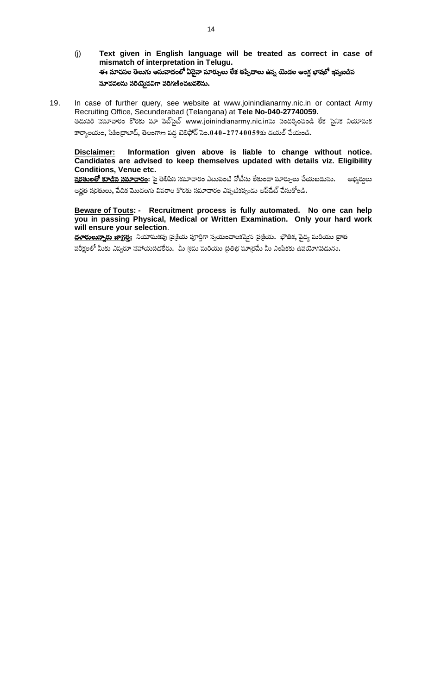- Text given in English language will be treated as correct in case of  $(j)$ mismatch of interpretation in Telugu. ఈ సూచనల తెలుగు అనువాదంలో ఏదైనా మార్పులు లేక తప్పిదాలు ఉన్న యెడల ఆంగ్ల భాషలో ఇవ్వబడిన సూచనలను సరియైనవిగా పరిగణించబవలెను.
- 19. In case of further query, see website at www.joinindianarmy.nic.in or contact Army Recruiting Office, Secunderabad (Telangana) at Tele No-040-27740059. తదుపరి సమాచారం కొరకు మా పెబ్సైట్ www.joinindianarmy.nic.inసు సందర్శించండి లేక సైనిక నియావుక

కార్యాలయం, సికింద్రాబాద్, తెలంగాణ పద్ధ టెలిఫోన్ సెం.040–27740059కు డయల్ పేయండి.

### Information given above is liable to change without notice. Disclaimer: Candidates are advised to keep themselves updated with details viz. Eligibility **Conditions, Venue etc.**

<mark>షరతులతో కూడిన సమాచారం</mark>: పై తెలిపిన సమాచారం ఎటువంటి నోటీసు లేకుండా మార్పులు చేయబడును. అభ్యర్తులు అర్హత షరతులు, పేదిక మొదలగు వివరాల కొరకు సమాచారం ఎప్పటికప్పుడు అప్ఉేట్ చేసుకోండి.

### Beware of Touts: - Recruitment process is fully automated. No one can help you in passing Physical, Medical or Written Examination. Only your hard work will ensure your selection.

<u>దళారులున్నారు జాగ్రత్త:</u> నియామకపు ప్రక్రియ పూర్తిగా స్వయంచాలకప్పెన ప్రక్రియ. భౌతిక, పైద్య మరియు వ్రాత పరీక్షలలో మీకు ఎప్వరూ సహాయపడలేరు. మీ శ్రమ మరియు (ప్రతిభ మా(తమే మీ ఎంపికకు ఉపయోగపడును.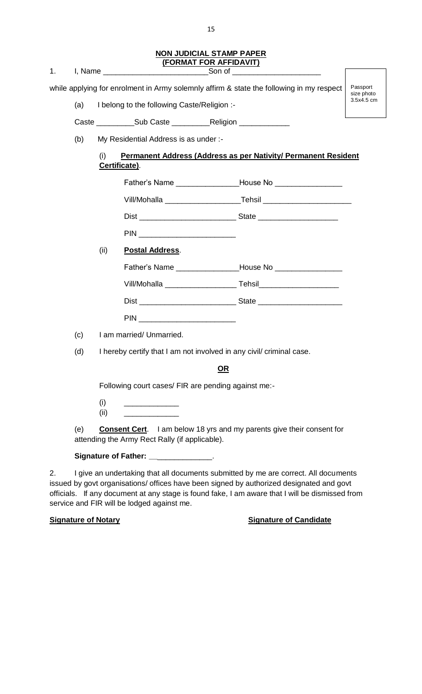### **NON JUDICIAL STAMP PAPER (FORMAT FOR AFFIDAVIT)**

1. J, Name \_\_\_\_\_\_\_\_\_\_\_\_\_\_\_\_\_\_\_\_\_\_\_\_\_\_\_\_\_\_\_Son of

while applying for enrolment in Army solemnly affirm & state the following in my respect

(a) I belong to the following Caste/Religion :-

Caste \_\_\_\_\_\_\_\_\_\_\_Sub Caste \_\_\_\_\_\_\_\_\_\_\_\_\_\_Religion \_

(b) My Residential Address is as under :-

| <b>Permanent Address (Address as per Nativity/ Permanent Resident</b> |
|-----------------------------------------------------------------------|
| Certificate).                                                         |

Passport size photo 3.5x4.5 cm

|                                    | Vill/Mohalla __________________________Tehsil __________________________ |
|------------------------------------|--------------------------------------------------------------------------|
|                                    |                                                                          |
| PIN __________________________     |                                                                          |
| <b>Postal Address.</b>             |                                                                          |
|                                    |                                                                          |
|                                    |                                                                          |
| Dist _____________________________ | State _________________________                                          |

(c) I am married/ Unmarried.

(d) I hereby certify that I am not involved in any civil/ criminal case.

PIN \_\_\_\_\_\_\_\_\_\_\_\_\_\_\_\_\_\_\_\_\_\_\_

# **OR**

Following court cases/ FIR are pending against me:-

 $(i)$ 

(ii) **Postal Address**.

 $(iii)$ 

(e) **Consent Cert**. I am below 18 yrs and my parents give their consent for attending the Army Rect Rally (if applicable).

## **Signature of Father: \_\_**\_\_\_\_\_\_\_\_\_\_\_\_\_.

2. I give an undertaking that all documents submitted by me are correct. All documents issued by govt organisations/ offices have been signed by authorized designated and govt officials. If any document at any stage is found fake, I am aware that I will be dismissed from service and FIR will be lodged against me.

## **Signature of Notary Signature of Candidate**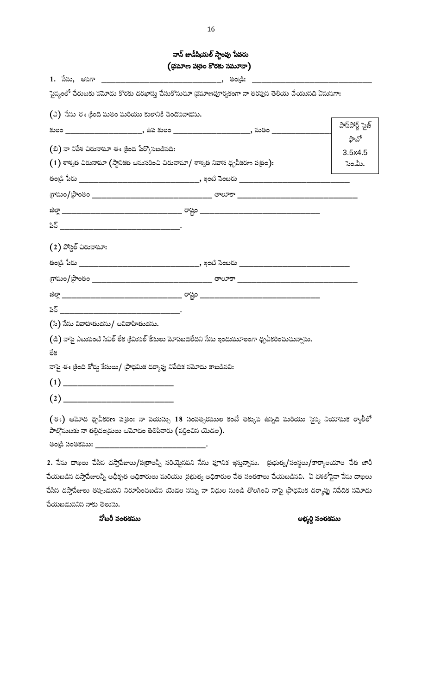|                       |                                                                                                                                                                    | (భమాణ పత్రం కొరకు సమూనా) |                 |
|-----------------------|--------------------------------------------------------------------------------------------------------------------------------------------------------------------|--------------------------|-----------------|
| 1. సేను, <b>అ</b> నగా |                                                                                                                                                                    |                          |                 |
|                       | సైన్యంలో చేరుటకు సమోదు కొరకు దరఖాస్తు చేసుకొనుచూ (పమాణపూర్వకంగా నా తరపున తెలియ చేయుసది ఏమనగా:                                                                      |                          |                 |
|                       | (ఎ) నేసు ఈ క్రింది మతం మరియు కులానికి చెందినవాడసు.                                                                                                                 |                          |                 |
|                       | కులం _____________________, ఉప కులం _____________________, పుతం ________                                                                                           |                          | పాస్ట్ స్టాజ్   |
|                       | (బి) నా నిపేశ చిరునామా ఈ క్రింద పేర్కొసబడినది:                                                                                                                     |                          | ఫాటో<br>3.5x4.5 |
|                       | $\left(1\right)$ శాశ్వత చిరునామా (స్థానికత అనుసరించి చిరునామా/ శాశ్వత నివాస ధృవీకరణ ప@ుం):                                                                         |                          | సెం.మీ.         |
|                       |                                                                                                                                                                    |                          |                 |
|                       |                                                                                                                                                                    |                          |                 |
|                       |                                                                                                                                                                    |                          |                 |
|                       |                                                                                                                                                                    |                          |                 |
|                       | $(2)$ పోస్టల్ చిరునామా:                                                                                                                                            |                          |                 |
|                       | తండి పేరు __________________________________, ఇంటి సెంబరు _____________________                                                                                    |                          |                 |
|                       |                                                                                                                                                                    |                          |                 |
|                       |                                                                                                                                                                    |                          |                 |
|                       | 35                                                                                                                                                                 |                          |                 |
|                       | (సి) సేను వివాహతుడసు/ అవివాహితుడసు.                                                                                                                                |                          |                 |
|                       | (డి) నాపై ఎటువంటి సివిల్ లేక క్రిమిసల్ కేసులు మోపబడలేదని సేను ఇందుమూలంగా ధృవీకరించుచున్నాను.                                                                       |                          |                 |
| ేక                    |                                                                                                                                                                    |                          |                 |
|                       | నాపై ఈ క్రింది కోర్టు కేసులు/ (పాధమిక దర్యాప్తు నిపేదిక నమోదు కాబడినవి:                                                                                            |                          |                 |
|                       |                                                                                                                                                                    |                          |                 |
| (2)                   |                                                                                                                                                                    |                          |                 |
|                       | $($ ఈ) ఆమోద ధృవీకరణ ప(తం: నా పయస్సు 18 సంవత్సరముల కంటే తక్కువ ఉస్నది మరియు సైన్య నియామక ర్యాలీలో<br>పాల్గొనుటకు నా తల్లిదం(డులు ఆమోదం తెలిపినారు (వర్తించిన యెడల). |                          |                 |
| తండ్రి సంతకము:        |                                                                                                                                                                    |                          |                 |

2. సేసు దాఖలు చేసిస దస్తాపేజులు/పత్రాలస్నీ సరియైనపని సేసు పూనిక ఇస్తున్నాసు. ప్రభుత్వ/సంస్థలు/కార్యాలయాల చేత జారీ చేయబడిన దస్తాపేజులన్నీ అధీకృత అధికారులు మరియు థ్రభుత్వ అధికారుల చేత సంతకాలు చేయబడినవి. ఏ దశలోసైనా సేసు దాఖలు చేసిన దస్తాపేజులు తప్పుడుపని నిరూపించబడిస యెడల సస్ను నా విధుల సుండి తొలగించి నాపై (పాధమిక దర్యాప్తు నిపేదిక సమోదు చేయబడుననిన నాకు తెలుసు.

నోటరీ సంతకము

అభ్యర్ధి సంతకము

నాన్ జుడీషియల్ స్టాంపు పేపరు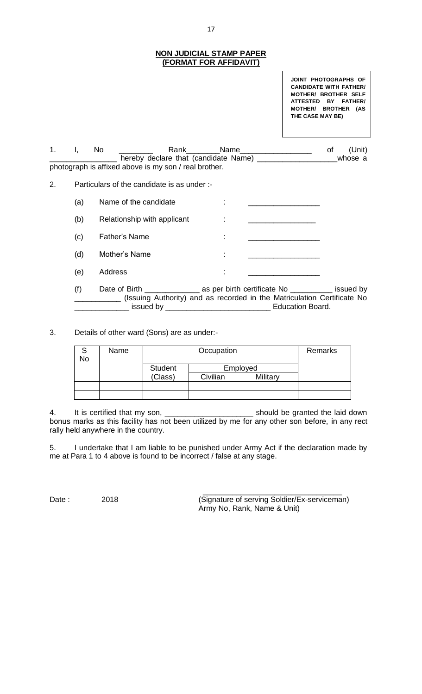### **NON JUDICIAL STAMP PAPER (FORMAT FOR AFFIDAVIT)**

**JOINT PHOTOGRAPHS OF CANDIDATE WITH FATHER/ MOTHER/ BROTHER SELF ATTESTED BY FATHER/ MOTHER/ BROTHER (AS THE CASE MAY BE)**

1. I, No \_\_\_\_\_\_\_\_ Rank\_\_\_\_\_\_\_Name\_\_\_\_\_\_\_\_\_\_\_\_\_\_\_\_\_\_\_\_\_ of (Unit) hereby declare that (candidate Name) \_\_\_\_\_\_\_\_\_\_\_\_\_\_\_\_\_\_\_\_\_\_\_whose a photograph is affixed above is my son / real brother.

2. Particulars of the candidate is as under :-

| (a) | Name of the candidate       | ٠ |  |
|-----|-----------------------------|---|--|
| (b) | Relationship with applicant |   |  |
| (c) | Father's Name               | ٠ |  |
| (d) | Mother's Name               | ٠ |  |
| (e) | Address                     | ٠ |  |

(f) Date of Birth \_\_\_\_\_\_\_\_\_\_\_\_\_ as per birth certificate No \_\_\_\_\_\_\_\_\_\_ issued by \_\_\_\_\_\_\_\_\_\_\_ (Issuing Authority) and as recorded in the Matriculation Certificate No Lissued by \_\_\_\_\_\_\_\_\_\_\_\_\_\_\_\_\_\_\_\_\_\_\_\_\_\_\_\_\_\_\_ Education Board.

3. Details of other ward (Sons) are as under:-

| No | Name |                           | Remarks              |  |  |
|----|------|---------------------------|----------------------|--|--|
|    |      | <b>Student</b><br>(Class) | Employed<br>Civilian |  |  |
|    |      |                           |                      |  |  |
|    |      |                           |                      |  |  |

4. It is certified that my son, \_\_\_\_\_\_\_\_\_\_\_\_\_\_\_\_\_\_\_\_\_\_\_\_\_\_ should be granted the laid down bonus marks as this facility has not been utilized by me for any other son before, in any rect rally held anywhere in the country.

5. I undertake that I am liable to be punished under Army Act if the declaration made by me at Para 1 to 4 above is found to be incorrect / false at any stage.

Date : 2018 2018 (Signature of serving Soldier/Ex-serviceman) Army No, Rank, Name & Unit)

\_\_\_\_\_\_\_\_\_\_\_\_\_\_\_\_\_\_\_\_\_\_\_\_\_\_\_\_\_\_\_\_\_